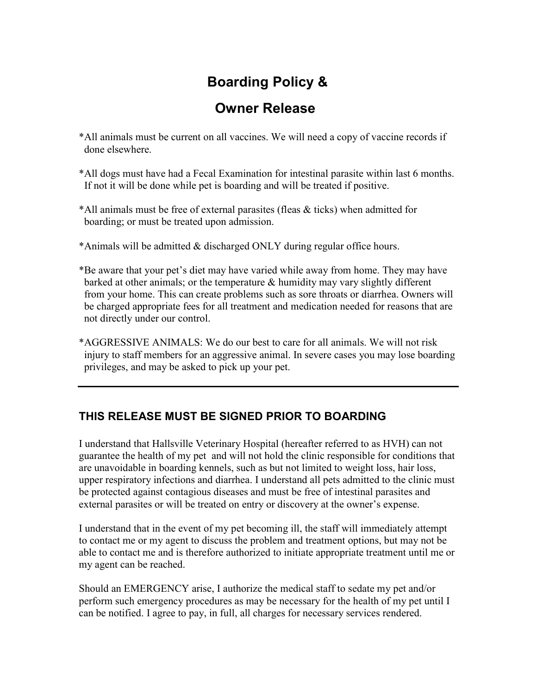## Boarding Policy &

## Owner Release

- \*All animals must be current on all vaccines. We will need a copy of vaccine records if done elsewhere.
- \*All dogs must have had a Fecal Examination for intestinal parasite within last 6 months. If not it will be done while pet is boarding and will be treated if positive.
- \*All animals must be free of external parasites (fleas & ticks) when admitted for boarding; or must be treated upon admission.
- \*Animals will be admitted & discharged ONLY during regular office hours.
- \*Be aware that your pet's diet may have varied while away from home. They may have barked at other animals; or the temperature  $\&$  humidity may vary slightly different from your home. This can create problems such as sore throats or diarrhea. Owners will be charged appropriate fees for all treatment and medication needed for reasons that are not directly under our control.
- \*AGGRESSIVE ANIMALS: We do our best to care for all animals. We will not risk injury to staff members for an aggressive animal. In severe cases you may lose boarding privileges, and may be asked to pick up your pet.

## THIS RELEASE MUST BE SIGNED PRIOR TO BOARDING

I understand that Hallsville Veterinary Hospital (hereafter referred to as HVH) can not guarantee the health of my pet and will not hold the clinic responsible for conditions that are unavoidable in boarding kennels, such as but not limited to weight loss, hair loss, upper respiratory infections and diarrhea. I understand all pets admitted to the clinic must be protected against contagious diseases and must be free of intestinal parasites and external parasites or will be treated on entry or discovery at the owner's expense.

I understand that in the event of my pet becoming ill, the staff will immediately attempt to contact me or my agent to discuss the problem and treatment options, but may not be able to contact me and is therefore authorized to initiate appropriate treatment until me or my agent can be reached.

Should an EMERGENCY arise, I authorize the medical staff to sedate my pet and/or perform such emergency procedures as may be necessary for the health of my pet until I can be notified. I agree to pay, in full, all charges for necessary services rendered.